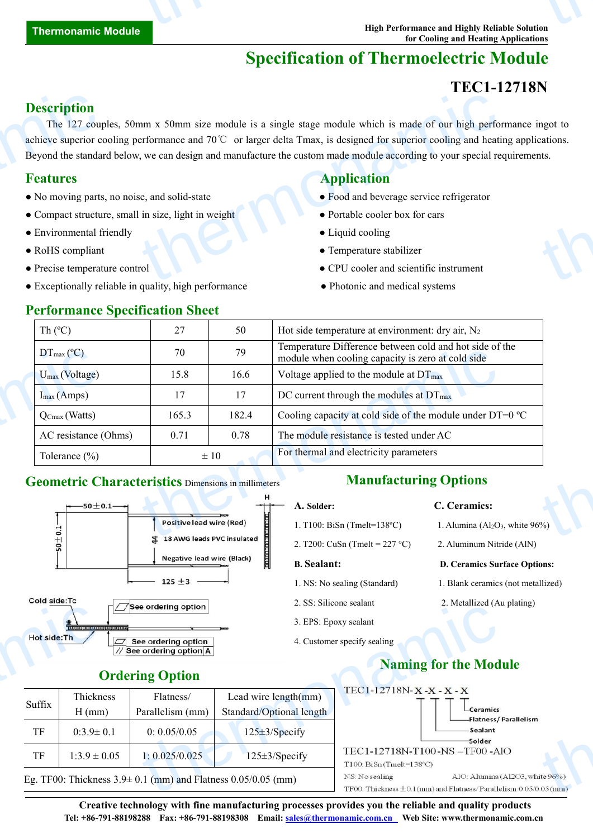# **Specification of Thermoelectric Module**

# **TEC1-12718N**

## **Description**

The 127 couples, 50mm x 50mm size module is a single stage module which is made of our high performance ingot to achieve superior cooling performance and 70℃ or larger delta Tmax, is designed for superior cooling and heating applications. Beyond the standard below, we can design and manufacture the custom made module according to your special requirements. **Description**<br>The 127 couples<br>achieve superior compared by a standard **Features**<br>• No moving parts<br>• Compact structure **Exercise Environmental for Precise temperat** Alternative module is a single stage module which is made of our high performance and 70°C or larger delta Tmax, is designed for superior cooling and heating to your special response to the custom made module according to thermonators.<br>thermonators.<br>thermonators of the control of the control of the control of the control of the control of the control of the<br>state of the control of the control of the control of the control of the control of

- No moving parts, no noise, and solid-state Food and beverage service refrigerator
- Compact structure, small in size, light in weight Portable cooler box for cars
- Environmental friendly **COO** Liquid cooling
- 
- 
- Exceptionally reliable in quality, high performance Photonic and medical systems

### **Performance Specification Sheet**

## **Features Application**

- 
- 
- 
- RoHS compliant Temperature stabilizer
- Precise temperature control CPU cooler and scientific instrument
	-

| Th $(C)$                                                   | 27                                                                            | 50       | Hot side temperature at environment: dry air, $N_2$                                                          |  |  |
|------------------------------------------------------------|-------------------------------------------------------------------------------|----------|--------------------------------------------------------------------------------------------------------------|--|--|
| $DT_{\text{max}}({}^{\circ}C)$                             | 70                                                                            | 79       | Temperature Difference between cold and hot side of the<br>module when cooling capacity is zero at cold side |  |  |
| $U_{\text{max}}$ (Voltage)                                 | 15.8                                                                          | 16.6     | Voltage applied to the module at $DT_{\text{max}}$                                                           |  |  |
| $I_{max}(Amps)$                                            | 17                                                                            | 17       | DC current through the modules at $DT_{\text{max}}$                                                          |  |  |
| $Q_{Cmax}$ (Watts)                                         | 165.3<br>182.4<br>Cooling capacity at cold side of the module under $DT=0$ °C |          |                                                                                                              |  |  |
| AC resistance (Ohms)                                       | 0.71                                                                          | 0.78     | The module resistance is tested under AC                                                                     |  |  |
| Tolerance $(\% )$                                          |                                                                               | $\pm 10$ | For thermal and electricity parameters                                                                       |  |  |
| <b>Geometric Characteristics Dimensions in millimeters</b> |                                                                               |          | <b>Manufacturing Options</b>                                                                                 |  |  |
| $--50\pm0.1-$                                              |                                                                               |          | C. Ceramics:<br>A. Solder:                                                                                   |  |  |
|                                                            | <b>Positive lead wire (Red)</b>                                               |          | 1. T100: BiSn (Tmelt= $138^{\circ}$ C)<br>1. Alumina ( $Al_2O_3$ , white 96%)                                |  |  |
|                                                            | 4 18 AMG leads PVC insulated                                                  |          |                                                                                                              |  |  |

### **Geometric Characteristics** Dimensions in millimeters



| $\omega$ see orgering option |  |
|------------------------------|--|
| // See ordering option A     |  |

# **Manufacturing Options**

- 
- 

- 
- 
- 3. EPS: Epoxy sealant
- 4. Customer specify sealing
- **A. Solder: C. Ceramics:**
- 1. T100: BiSn (Tmelt=138°C) 1. Alumina (Al<sub>2</sub>O<sub>3</sub>, white 96%)
- 2. T200: CuSn (Tmelt =  $227 \text{ °C}$ ) 2. Aluminum Nitride (AlN)

### **B. Sealant: D. Ceramics Surface Options:**

- 1. NS: No sealing (Standard) 1. Blank ceramics (not metallized)
- 2. SS: Silicone sealant 2. Metallized (Au plating)

### **Ordering Option**

|              |                       | $\Box$ See ordering option                                       |                                                                     | 2. SS. SHICOIIC SCAIAIII                                                              | 2. Mcamzeu (Au pianne)                                                                                   |
|--------------|-----------------------|------------------------------------------------------------------|---------------------------------------------------------------------|---------------------------------------------------------------------------------------|----------------------------------------------------------------------------------------------------------|
|              |                       |                                                                  |                                                                     | 3. EPS: Epoxy sealant                                                                 |                                                                                                          |
| Hot side: Th |                       | $\boxed{\square}$ See ordering option<br>/ See ordering option A |                                                                     | 4. Customer specify sealing                                                           |                                                                                                          |
|              |                       | <b>Ordering Option</b>                                           |                                                                     |                                                                                       | <b>Naming for the Module</b>                                                                             |
| Suffix       | Thickness<br>$H$ (mm) | Flatness/<br>Parallelism (mm)                                    | Lead wire length(mm)<br>Standard/Optional length                    |                                                                                       | <b>L</b> Ceramics                                                                                        |
| TF           | $0:3.9 \pm 0.1$       | 0: 0.05/0.05                                                     | $125 \pm 3$ /Specify                                                |                                                                                       | -Sealant<br>-Solder                                                                                      |
| TF           | $1:3.9 \pm 0.05$      | 1: 0.025/0.025                                                   | $125 \pm 3$ /Specify                                                | TEC1-12718N-T100-NS-TF00-AlO<br>$T100: \text{BiSn}(\text{Tmelt=138}^{\circ}\text{C})$ |                                                                                                          |
|              |                       |                                                                  | Eg. TF00: Thickness $3.9\pm 0.1$ (mm) and Flatness $0.05/0.05$ (mm) | NS: No sealing                                                                        | AlO: Alumina (Al2O3, white 96%)<br>TF00: Thickness $\pm$ 0.1(mm) and Flatness/Parallelism: 0.05/0.05(mm) |
|              |                       |                                                                  |                                                                     | TEC1-12718N-X-X-X-X                                                                   | -Flatness/Parallelism                                                                                    |

**Creative technology with fine manufacturing processes provides you the reliable and quality products Tel: +86-791-88198288 Fax: +86-791-88198308 Email: sales@thermonamic.com.cn Web Site: www.thermonamic.com.cn**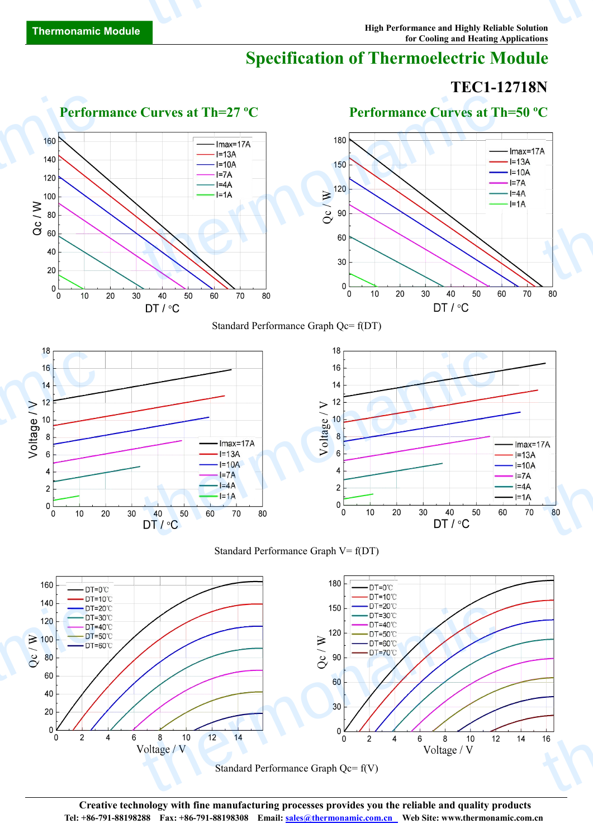$\overline{4}$ 

6

# **Specification of Thermoelectric Module**

# **TEC1-12718N**

 $14$ 



**Creative technology with fine manufacturing processes provides you the reliable and quality products Tel: +86-791-88198288 Fax: +86-791-88198308 Email: sales@thermonamic.com.cn Web Site: www.thermonamic.com.cn**

Standard Performance Graph Qc= f(V)